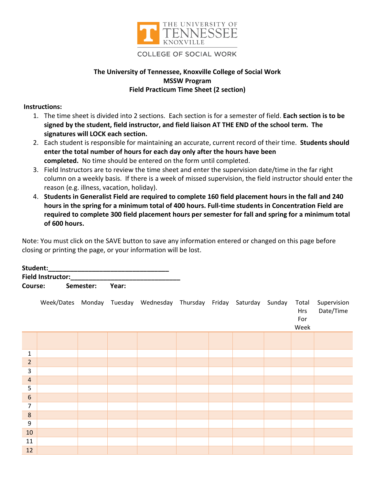

## **COLLEGE OF SOCIAL WORK**

## **The University of Tennessee, Knoxville College of Social Work MSSW Program Field Practicum Time Sheet (2 section)**

## **Instructions:**

- 1. The time sheet is divided into 2 sections. Each section is for a semester of field. **Each section is to be signed by the student, field instructor, and field liaison AT THE END of the school term. The signatures will LOCK each section.**
- 2. Each student is responsible for maintaining an accurate, current record of their time. **Students should enter the total number of hours for each day only after the hours have been completed.** No time should be entered on the form until completed.
- 3. Field Instructors are to review the time sheet and enter the supervision date/time in the far right column on a weekly basis. If there is a week of missed supervision, the field instructor should enter the reason (e.g. illness, vacation, holiday).
- 4. **Students in Generalist Field are required to complete 160 field placement hours in the fall and 240 hours in the spring for a minimum total of 400 hours. Full-time students in Concentration Field are required to complete 300 field placement hours per semester for fall and spring for a minimum total of 600 hours.**

Note: You must click on the SAVE button to save any information entered or changed on this page before closing or printing the page, or your information will be lost.

| Student:                 |                 |  |  |  |  |  |  |
|--------------------------|-----------------|--|--|--|--|--|--|
| <b>Field Instructor:</b> |                 |  |  |  |  |  |  |
| Course:                  | Semester: Year: |  |  |  |  |  |  |

|                  |  | Week/Dates Monday Tuesday Wednesday Thursday Friday Saturday Sunday |  |  | Total<br>Hrs<br>For<br>Week | Supervision<br>Date/Time |
|------------------|--|---------------------------------------------------------------------|--|--|-----------------------------|--------------------------|
|                  |  |                                                                     |  |  |                             |                          |
|                  |  |                                                                     |  |  |                             |                          |
| $\mathbf{1}$     |  |                                                                     |  |  |                             |                          |
| $\overline{2}$   |  |                                                                     |  |  |                             |                          |
| 3                |  |                                                                     |  |  |                             |                          |
| $\overline{4}$   |  |                                                                     |  |  |                             |                          |
| 5                |  |                                                                     |  |  |                             |                          |
| $\boldsymbol{6}$ |  |                                                                     |  |  |                             |                          |
| $\overline{7}$   |  |                                                                     |  |  |                             |                          |
| $\bf 8$          |  |                                                                     |  |  |                             |                          |
| 9                |  |                                                                     |  |  |                             |                          |
| $10\,$           |  |                                                                     |  |  |                             |                          |
| 11               |  |                                                                     |  |  |                             |                          |
| 12               |  |                                                                     |  |  |                             |                          |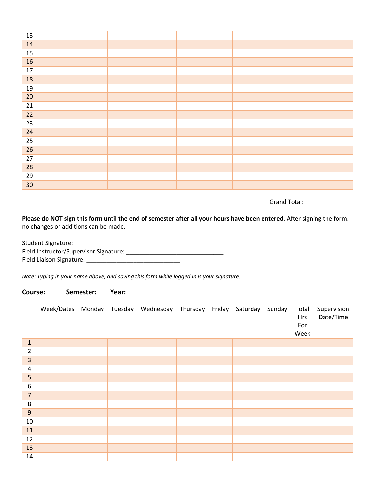| 13              |  |  |  |  |  |
|-----------------|--|--|--|--|--|
| 14              |  |  |  |  |  |
| 15              |  |  |  |  |  |
| 16              |  |  |  |  |  |
| $17\,$          |  |  |  |  |  |
| 18              |  |  |  |  |  |
| 19              |  |  |  |  |  |
| 20              |  |  |  |  |  |
| 21              |  |  |  |  |  |
| 22              |  |  |  |  |  |
| 23              |  |  |  |  |  |
| 24              |  |  |  |  |  |
| 25              |  |  |  |  |  |
| 26              |  |  |  |  |  |
| 27              |  |  |  |  |  |
| 28              |  |  |  |  |  |
| 29              |  |  |  |  |  |
| 30 <sub>o</sub> |  |  |  |  |  |

Grand Total:

**Please do NOT sign this form until the end of semester after all your hours have been entered.** After signing the form, no changes or additions can be made.

| Student Signature:                     |  |
|----------------------------------------|--|
| Field Instructor/Supervisor Signature: |  |
| Field Liaison Signature:               |  |

*Note: Typing in your name above, and saving this form while logged in is your signature.* 

## **Course: Semester: Year:**

|                         |  | Week/Dates Monday Tuesday Wednesday Thursday Friday Saturday |  | Sunday | Total<br>Hrs<br>For<br>Week | Supervision<br>Date/Time |
|-------------------------|--|--------------------------------------------------------------|--|--------|-----------------------------|--------------------------|
| $\mathbf{1}$            |  |                                                              |  |        |                             |                          |
| $\overline{2}$          |  |                                                              |  |        |                             |                          |
| $\overline{\mathbf{3}}$ |  |                                                              |  |        |                             |                          |
| $\sqrt{4}$              |  |                                                              |  |        |                             |                          |
| 5                       |  |                                                              |  |        |                             |                          |
| $\boldsymbol{6}$        |  |                                                              |  |        |                             |                          |
| $\overline{7}$          |  |                                                              |  |        |                             |                          |
| $\bf 8$                 |  |                                                              |  |        |                             |                          |
| 9                       |  |                                                              |  |        |                             |                          |
| 10                      |  |                                                              |  |        |                             |                          |
| $11\,$                  |  |                                                              |  |        |                             |                          |
| 12                      |  |                                                              |  |        |                             |                          |
| 13                      |  |                                                              |  |        |                             |                          |
| 14                      |  |                                                              |  |        |                             |                          |